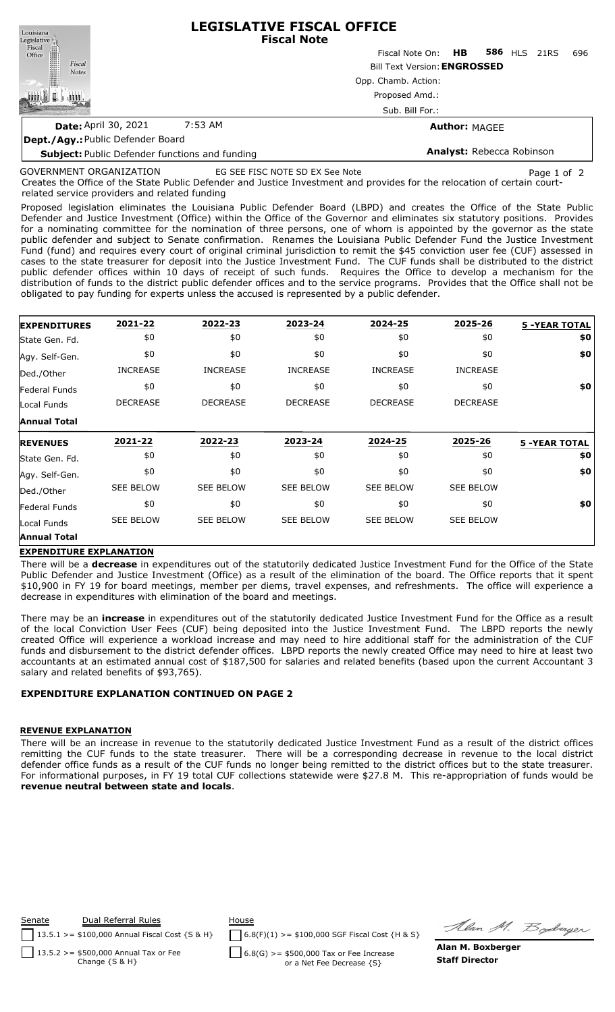| Louisiana                                             | <b>LEGISLATIVE FISCAL OFFICE</b><br><b>Fiscal Note</b> |                           |                      |  |                     |     |  |  |  |  |
|-------------------------------------------------------|--------------------------------------------------------|---------------------------|----------------------|--|---------------------|-----|--|--|--|--|
| Legislative<br>Fiscal<br>Office                       |                                                        | Fiscal Note On: <b>HB</b> |                      |  | <b>586 HLS 21RS</b> | 696 |  |  |  |  |
| Fiscal<br><b>Notes</b>                                | <b>Bill Text Version: ENGROSSED</b>                    |                           |                      |  |                     |     |  |  |  |  |
|                                                       | Opp. Chamb. Action:                                    |                           |                      |  |                     |     |  |  |  |  |
|                                                       | Proposed Amd.:                                         |                           |                      |  |                     |     |  |  |  |  |
|                                                       | Sub. Bill For.:                                        |                           |                      |  |                     |     |  |  |  |  |
| <b>Date: April 30, 2021</b>                           | 7:53 AM                                                |                           | <b>Author: MAGEE</b> |  |                     |     |  |  |  |  |
| Dept./Agy: Public Defender Board                      |                                                        |                           |                      |  |                     |     |  |  |  |  |
| <b>Subject:</b> Public Defender functions and funding |                                                        | Analyst: Rebecca Robinson |                      |  |                     |     |  |  |  |  |

# GOVERNMENT ORGANIZATION

EG SEE FISC NOTE SD EX See Note Page 1 of 2

Creates the Office of the State Public Defender and Justice Investment and provides for the relocation of certain courtrelated service providers and related funding

Proposed legislation eliminates the Louisiana Public Defender Board (LBPD) and creates the Office of the State Public Defender and Justice Investment (Office) within the Office of the Governor and eliminates six statutory positions. Provides for a nominating committee for the nomination of three persons, one of whom is appointed by the governor as the state public defender and subject to Senate confirmation. Renames the Louisiana Public Defender Fund the Justice Investment Fund (fund) and requires every court of original criminal jurisdiction to remit the \$45 conviction user fee (CUF) assessed in cases to the state treasurer for deposit into the Justice Investment Fund. The CUF funds shall be distributed to the district public defender offices within 10 days of receipt of such funds. Requires the Office to develop a mechanism for the distribution of funds to the district public defender offices and to the service programs. Provides that the Office shall not be obligated to pay funding for experts unless the accused is represented by a public defender.

| <b>EXPENDITURES</b> | 2021-22          | 2022-23          | 2023-24          | 2024-25          | 2025-26          | <b>5 -YEAR TOTAL</b> |
|---------------------|------------------|------------------|------------------|------------------|------------------|----------------------|
| State Gen. Fd.      | \$0              | \$0              | \$0              | \$0              | \$0              | \$0                  |
| Agy. Self-Gen.      | \$0              | \$0              | \$0              | \$0              | \$0              | \$0                  |
| Ded./Other          | <b>INCREASE</b>  | <b>INCREASE</b>  | <b>INCREASE</b>  | <b>INCREASE</b>  | <b>INCREASE</b>  |                      |
| Federal Funds       | \$0              | \$0              | \$0              | \$0              | \$0              | \$0                  |
| Local Funds         | <b>DECREASE</b>  | <b>DECREASE</b>  | <b>DECREASE</b>  | <b>DECREASE</b>  | <b>DECREASE</b>  |                      |
| <b>Annual Total</b> |                  |                  |                  |                  |                  |                      |
|                     |                  |                  | 2023-24          | 2024-25          | 2025-26          |                      |
| <b>REVENUES</b>     | 2021-22          | 2022-23          |                  |                  |                  | <b>5 -YEAR TOTAL</b> |
| State Gen. Fd.      | \$0              | \$0              | \$0              | \$0              | \$0              | \$0                  |
| Agy. Self-Gen.      | \$0              | \$0              | \$0              | \$0              | \$0              | \$0                  |
| Ded./Other          | <b>SEE BELOW</b> | <b>SEE BELOW</b> | <b>SEE BELOW</b> | <b>SEE BELOW</b> | <b>SEE BELOW</b> |                      |
| Federal Funds       | \$0              | \$0              | \$0              | \$0              | \$0              | \$0                  |
| Local Funds         | <b>SEE BELOW</b> | <b>SEE BELOW</b> | <b>SEE BELOW</b> | <b>SEE BELOW</b> | <b>SEE BELOW</b> |                      |

#### **EXPENDITURE EXPLANATION**

There will be a **decrease** in expenditures out of the statutorily dedicated Justice Investment Fund for the Office of the State Public Defender and Justice Investment (Office) as a result of the elimination of the board. The Office reports that it spent \$10,900 in FY 19 for board meetings, member per diems, travel expenses, and refreshments. The office will experience a decrease in expenditures with elimination of the board and meetings.

There may be an **increase** in expenditures out of the statutorily dedicated Justice Investment Fund for the Office as a result of the local Conviction User Fees (CUF) being deposited into the Justice Investment Fund. The LBPD reports the newly created Office will experience a workload increase and may need to hire additional staff for the administration of the CUF funds and disbursement to the district defender offices. LBPD reports the newly created Office may need to hire at least two accountants at an estimated annual cost of \$187,500 for salaries and related benefits (based upon the current Accountant 3 salary and related benefits of \$93,765).

## **EXPENDITURE EXPLANATION CONTINUED ON PAGE 2**

#### **REVENUE EXPLANATION**

There will be an increase in revenue to the statutorily dedicated Justice Investment Fund as a result of the district offices remitting the CUF funds to the state treasurer. There will be a corresponding decrease in revenue to the local district defender office funds as a result of the CUF funds no longer being remitted to the district offices but to the state treasurer. For informational purposes, in FY 19 total CUF collections statewide were \$27.8 M. This re-appropriation of funds would be **revenue neutral between state and locals**.